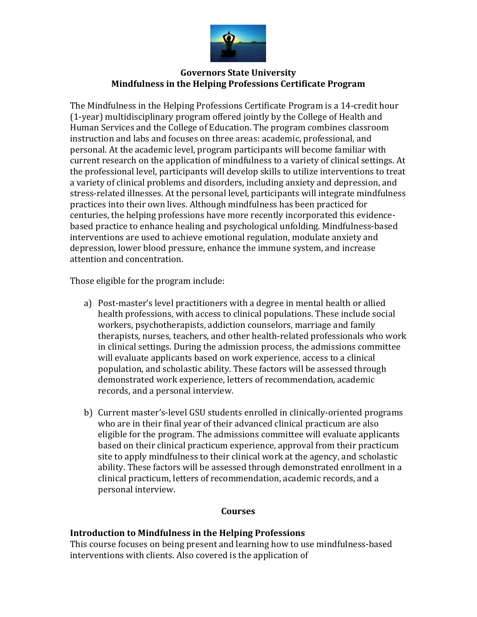

### **Governors State University Mindfulness in the Helping Professions Certificate Program**

The Mindfulness in the Helping Professions Certificate Program is a 14-credit hour (1-year) multidisciplinary program offered jointly by the College of Health and Human Services and the College of Education. The program combines classroom instruction and labs and focuses on three areas: academic, professional, and personal. At the academic level, program participants will become familiar with current research on the application of mindfulness to a variety of clinical settings. At the professional level, participants will develop skills to utilize interventions to treat a variety of clinical problems and disorders, including anxiety and depression, and stress-related illnesses. At the personal level, participants will integrate mindfulness practices into their own lives. Although mindfulness has been practiced for centuries, the helping professions have more recently incorporated this evidencebased practice to enhance healing and psychological unfolding. Mindfulness-based interventions are used to achieve emotional regulation, modulate anxiety and depression, lower blood pressure, enhance the immune system, and increase attention and concentration.

Those eligible for the program include:

- a) Post-master's level practitioners with a degree in mental health or allied health professions, with access to clinical populations. These include social workers, psychotherapists, addiction counselors, marriage and family therapists, nurses, teachers, and other health-related professionals who work in clinical settings. During the admission process, the admissions committee will evaluate applicants based on work experience, access to a clinical population, and scholastic ability. These factors will be assessed through demonstrated work experience, letters of recommendation, academic records, and a personal interview.
- b) Current master's-level GSU students enrolled in clinically-oriented programs who are in their final year of their advanced clinical practicum are also eligible for the program. The admissions committee will evaluate applicants based on their clinical practicum experience, approval from their practicum site to apply mindfulness to their clinical work at the agency, and scholastic ability. These factors will be assessed through demonstrated enrollment in a clinical practicum, letters of recommendation, academic records, and a personal interview.

#### **Courses**

#### **Introduction to Mindfulness in the Helping Professions**

This course focuses on being present and learning how to use mindfulness-based interventions with clients. Also covered is the application of